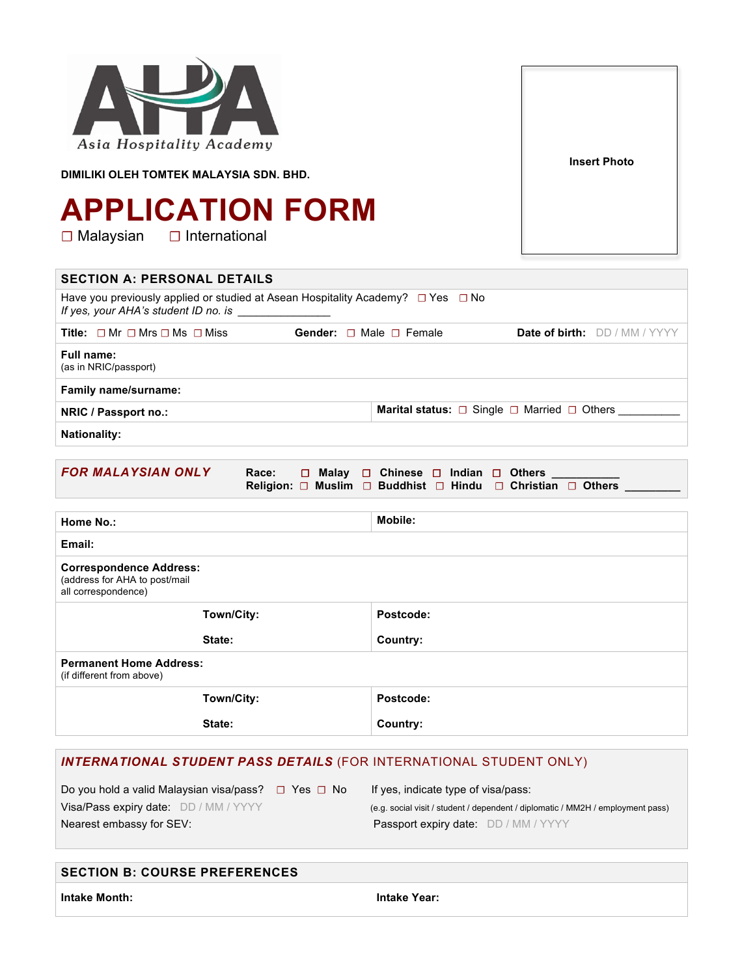| Asia Hospitality Academy<br>DIMILIKI OLEH TOMTEK MALAYSIA SDN. BHD.                                                                                               | <b>APPLICATION FORM</b>                                                                                              |                                                                                           | <b>Insert Photo</b> |  |  |
|-------------------------------------------------------------------------------------------------------------------------------------------------------------------|----------------------------------------------------------------------------------------------------------------------|-------------------------------------------------------------------------------------------|---------------------|--|--|
| $\square$ Malaysian                                                                                                                                               | $\Box$ International                                                                                                 |                                                                                           |                     |  |  |
| <b>SECTION A: PERSONAL DETAILS</b>                                                                                                                                |                                                                                                                      |                                                                                           |                     |  |  |
| If yes, your AHA's student ID no. is                                                                                                                              |                                                                                                                      | Have you previously applied or studied at Asean Hospitality Academy? $\Box$ Yes $\Box$ No |                     |  |  |
|                                                                                                                                                                   | Title: $\Box$ Mr $\Box$ Mrs $\Box$ Ms $\Box$ Miss<br>Gender: □ Male □ Female<br><b>Date of birth:</b> DD / MM / YYYY |                                                                                           |                     |  |  |
| <b>Full name:</b><br>(as in NRIC/passport)                                                                                                                        |                                                                                                                      |                                                                                           |                     |  |  |
| Family name/surname:                                                                                                                                              |                                                                                                                      |                                                                                           |                     |  |  |
| NRIC / Passport no.:                                                                                                                                              |                                                                                                                      | <b>Marital status:</b> □ Single □ Married □ Others                                        |                     |  |  |
| <b>Nationality:</b>                                                                                                                                               |                                                                                                                      |                                                                                           |                     |  |  |
| <b>FOR MALAYSIAN ONLY</b><br>$\square$ Malay<br>$\Box$ Chinese $\Box$ Indian $\Box$ Others<br>Race:<br>Religion: O Muslim O Buddhist O Hindu O Christian O Others |                                                                                                                      |                                                                                           |                     |  |  |
| Home No.:                                                                                                                                                         |                                                                                                                      | <b>Mobile:</b>                                                                            |                     |  |  |
| Email:                                                                                                                                                            |                                                                                                                      |                                                                                           |                     |  |  |
| <b>Correspondence Address:</b><br>(address for AHA to post/mail<br>all correspondence)                                                                            |                                                                                                                      |                                                                                           |                     |  |  |
|                                                                                                                                                                   | Town/City:                                                                                                           | Postcode:                                                                                 |                     |  |  |
| State:                                                                                                                                                            |                                                                                                                      | Country:                                                                                  |                     |  |  |
| <b>Permanent Home Address:</b><br>(if different from above)                                                                                                       |                                                                                                                      |                                                                                           |                     |  |  |
| Town/City:                                                                                                                                                        |                                                                                                                      | Postcode:                                                                                 |                     |  |  |
|                                                                                                                                                                   | State:                                                                                                               | Country:                                                                                  |                     |  |  |
|                                                                                                                                                                   |                                                                                                                      |                                                                                           |                     |  |  |
|                                                                                                                                                                   |                                                                                                                      |                                                                                           |                     |  |  |

# *INTERNATIONAL STUDENT PASS DETAILS* (FOR INTERNATIONAL STUDENT ONLY)

| Do you hold a valid Malaysian visa/pass? $\Box$ Yes $\Box$ No | If yes, indicate type of visa/pass:                                             |
|---------------------------------------------------------------|---------------------------------------------------------------------------------|
| Visa/Pass expiry date: DD / MM / YYYY                         | (e.g. social visit / student / dependent / diplomatic / MM2H / employment pass) |
| Nearest embassy for SEV:                                      | <b>Passport expiry date:</b> DD / MM / YYYY                                     |

**Intake Month: Intake Year:**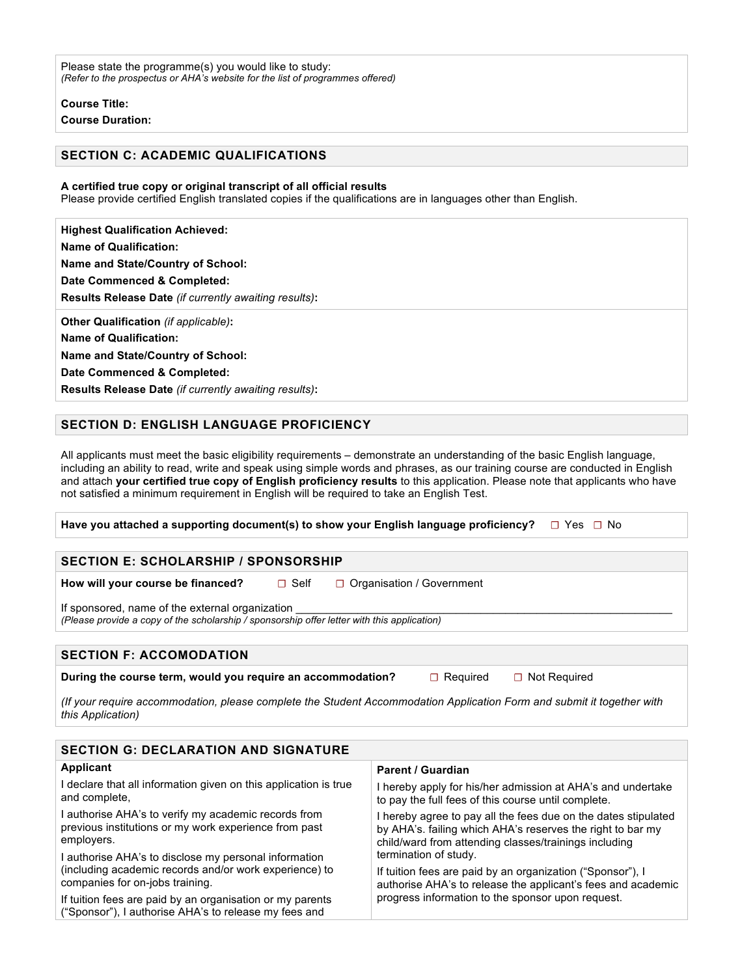Please state the programme(s) you would like to study: *(Refer to the prospectus or AHA's website for the list of programmes offered)*

**Course Title:**

**Course Duration:**

## **SECTION C: ACADEMIC QUALIFICATIONS**

#### **A certified true copy or original transcript of all official results**

Please provide certified English translated copies if the qualifications are in languages other than English.

**Highest Qualification Achieved: Name of Qualification: Name and State/Country of School: Date Commenced & Completed: Results Release Date** *(if currently awaiting results)***: Other Qualification** *(if applicable)***:**

**Name of Qualification:**

**Name and State/Country of School:**

**Date Commenced & Completed:**

**Results Release Date** *(if currently awaiting results)***:**

## **SECTION D: ENGLISH LANGUAGE PROFICIENCY**

All applicants must meet the basic eligibility requirements – demonstrate an understanding of the basic English language, including an ability to read, write and speak using simple words and phrases, as our training course are conducted in English and attach **your certified true copy of English proficiency results** to this application. Please note that applicants who have not satisfied a minimum requirement in English will be required to take an English Test.

**Have you attached a supporting document(s) to show your English language proficiency? ☐**Yes **☐**No

#### **SECTION E: SCHOLARSHIP / SPONSORSHIP**

**How will your course be financed?** □ Self □ Organisation / Government

If sponsored, name of the external organization *(Please provide a copy of the scholarship / sponsorship offer letter with this application)*

## **SECTION F: ACCOMODATION**

**During the course term, would you require an accommodation? □ □ Required □ Not Required** 

*(If your require accommodation, please complete the Student Accommodation Application Form and submit it together with this Application)*

| <b>SECTION G: DECLARATION AND SIGNATURE</b>                                                                                 |                                                                                                                                                                                       |  |  |  |
|-----------------------------------------------------------------------------------------------------------------------------|---------------------------------------------------------------------------------------------------------------------------------------------------------------------------------------|--|--|--|
| Applicant                                                                                                                   | Parent / Guardian                                                                                                                                                                     |  |  |  |
| I declare that all information given on this application is true<br>and complete,                                           | I hereby apply for his/her admission at AHA's and undertake<br>to pay the full fees of this course until complete.                                                                    |  |  |  |
| I authorise AHA's to verify my academic records from<br>previous institutions or my work experience from past<br>employers. | I hereby agree to pay all the fees due on the dates stipulated<br>by AHA's, failing which AHA's reserves the right to bar my<br>child/ward from attending classes/trainings including |  |  |  |
| I authorise AHA's to disclose my personal information                                                                       | termination of study.                                                                                                                                                                 |  |  |  |
| (including academic records and/or work experience) to<br>companies for on-jobs training.                                   | If tuition fees are paid by an organization ("Sponsor"). I<br>authorise AHA's to release the applicant's fees and academic<br>progress information to the sponsor upon request.       |  |  |  |
| If tuition fees are paid by an organisation or my parents<br>("Sponsor"), I authorise AHA's to release my fees and          |                                                                                                                                                                                       |  |  |  |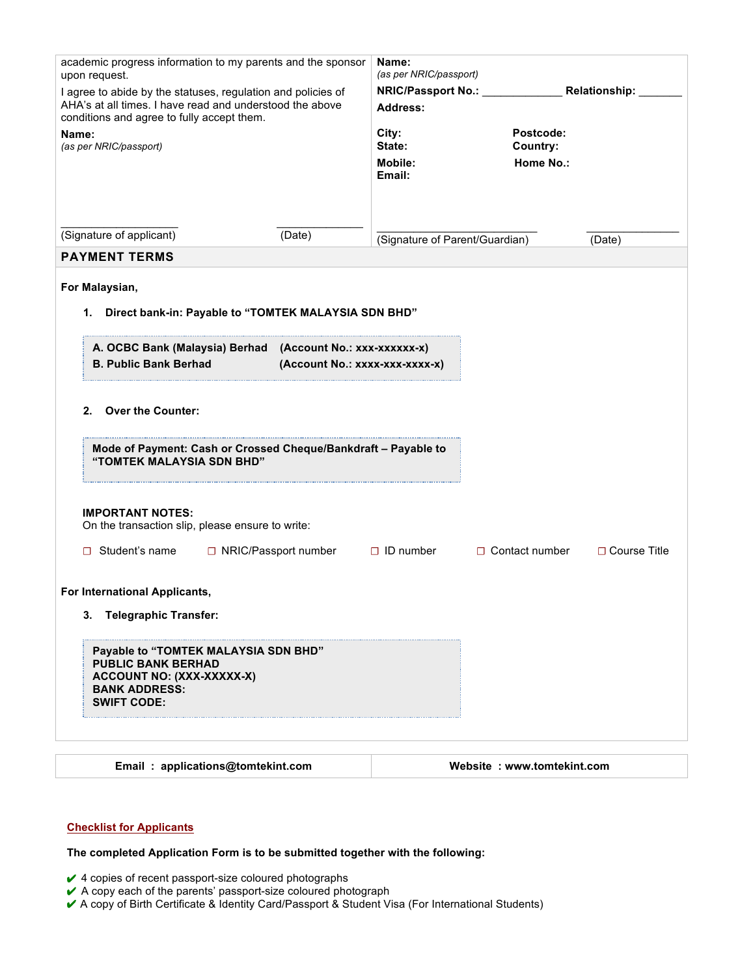| academic progress information to my parents and the sponsor<br>upon request.<br>I agree to abide by the statuses, regulation and policies of<br>AHA's at all times. I have read and understood the above<br>conditions and agree to fully accept them. |                                | Name:<br>(as per NRIC/passport)  |                            |                     |
|--------------------------------------------------------------------------------------------------------------------------------------------------------------------------------------------------------------------------------------------------------|--------------------------------|----------------------------------|----------------------------|---------------------|
|                                                                                                                                                                                                                                                        |                                | NRIC/Passport No.: Relationship: |                            |                     |
|                                                                                                                                                                                                                                                        |                                | Address:                         |                            |                     |
| Name:                                                                                                                                                                                                                                                  |                                | City:                            | Postcode:                  |                     |
| (as per NRIC/passport)                                                                                                                                                                                                                                 |                                | State:                           | Country:                   |                     |
|                                                                                                                                                                                                                                                        |                                | Mobile:<br>Email:                | <b>Home No.:</b>           |                     |
|                                                                                                                                                                                                                                                        |                                |                                  |                            |                     |
|                                                                                                                                                                                                                                                        |                                |                                  |                            |                     |
| (Signature of applicant)                                                                                                                                                                                                                               | (Date)                         | (Signature of Parent/Guardian)   |                            | (Date)              |
| <b>PAYMENT TERMS</b>                                                                                                                                                                                                                                   |                                |                                  |                            |                     |
|                                                                                                                                                                                                                                                        |                                |                                  |                            |                     |
| For Malaysian,                                                                                                                                                                                                                                         |                                |                                  |                            |                     |
| Direct bank-in: Payable to "TOMTEK MALAYSIA SDN BHD"<br>1.                                                                                                                                                                                             |                                |                                  |                            |                     |
|                                                                                                                                                                                                                                                        |                                |                                  |                            |                     |
| A. OCBC Bank (Malaysia) Berhad (Account No.: xxx-xxxxxx-x)                                                                                                                                                                                             |                                |                                  |                            |                     |
| <b>B. Public Bank Berhad</b>                                                                                                                                                                                                                           | (Account No.: xxxx-xxx-xxxx-x) |                                  |                            |                     |
| <b>Over the Counter:</b><br>2.                                                                                                                                                                                                                         |                                |                                  |                            |                     |
| Mode of Payment: Cash or Crossed Cheque/Bankdraft - Payable to<br>"TOMTEK MALAYSIA SDN BHD"                                                                                                                                                            |                                |                                  |                            |                     |
| <b>IMPORTANT NOTES:</b><br>On the transaction slip, please ensure to write:<br>Student's name<br>□ NRIC/Passport number<br>П.                                                                                                                          |                                | $\Box$ ID number                 | $\Box$ Contact number      | $\Box$ Course Title |
| For International Applicants,                                                                                                                                                                                                                          |                                |                                  |                            |                     |
|                                                                                                                                                                                                                                                        |                                |                                  |                            |                     |
| <b>Telegraphic Transfer:</b><br>3.                                                                                                                                                                                                                     |                                |                                  |                            |                     |
| Payable to "TOMTEK MALAYSIA SDN BHD"<br><b>PUBLIC BANK BERHAD</b><br>ACCOUNT NO: (XXX-XXXXX-X)<br><b>BANK ADDRESS:</b><br><b>SWIFT CODE:</b>                                                                                                           |                                |                                  |                            |                     |
|                                                                                                                                                                                                                                                        |                                |                                  |                            |                     |
| Email: applications@tomtekint.com                                                                                                                                                                                                                      |                                |                                  | Website: www.tomtekint.com |                     |

### **Checklist for Applicants**

**The completed Application Form is to be submitted together with the following:**

 $\blacktriangleright$  4 copies of recent passport-size coloured photographs

- ✔ A copy each of the parents' passport-size coloured photograph
- ↓ A copy of Birth Certificate & Identity Card/Passport & Student Visa (For International Students)